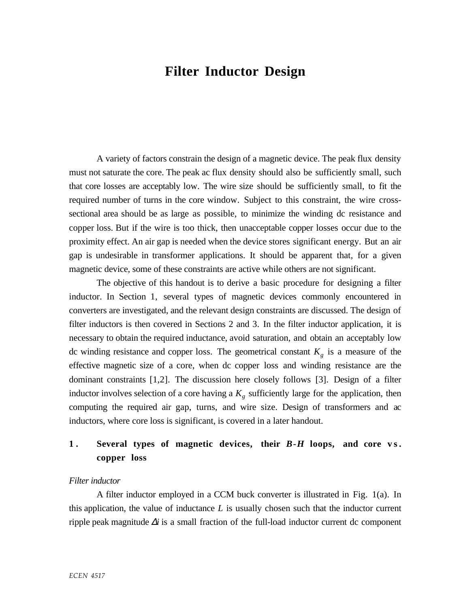# **Filter Inductor Design**

A variety of factors constrain the design of a magnetic device. The peak flux density must not saturate the core. The peak ac flux density should also be sufficiently small, such that core losses are acceptably low. The wire size should be sufficiently small, to fit the required number of turns in the core window. Subject to this constraint, the wire crosssectional area should be as large as possible, to minimize the winding dc resistance and copper loss. But if the wire is too thick, then unacceptable copper losses occur due to the proximity effect. An air gap is needed when the device stores significant energy. But an air gap is undesirable in transformer applications. It should be apparent that, for a given magnetic device, some of these constraints are active while others are not significant.

The objective of this handout is to derive a basic procedure for designing a filter inductor. In Section 1, several types of magnetic devices commonly encountered in converters are investigated, and the relevant design constraints are discussed. The design of filter inductors is then covered in Sections 2 and 3. In the filter inductor application, it is necessary to obtain the required inductance, avoid saturation, and obtain an acceptably low dc winding resistance and copper loss. The geometrical constant  $K<sub>g</sub>$  is a measure of the effective magnetic size of a core, when dc copper loss and winding resistance are the dominant constraints [1,2]. The discussion here closely follows [3]. Design of a filter inductor involves selection of a core having a  $K_{\varrho}$  sufficiently large for the application, then computing the required air gap, turns, and wire size. Design of transformers and ac inductors, where core loss is significant, is covered in a later handout.

## **1.** Several types of magnetic devices, their *B-H* loops, and core vs. **copper loss**

#### *Filter inductor*

A filter inductor employed in a CCM buck converter is illustrated in Fig. 1(a). In this application, the value of inductance  $L$  is usually chosen such that the inductor current ripple peak magnitude ∆*i* is a small fraction of the full-load inductor current dc component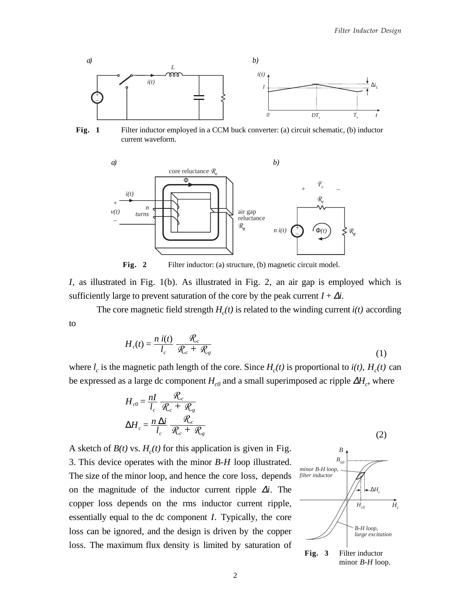

**Fig. 1** Filter inductor employed in a CCM buck converter: (a) circuit schematic, (b) inductor current waveform.



Fig. 2 Filter inductor: (a) structure, (b) magnetic circuit model.

*I*, as illustrated in Fig. 1(b). As illustrated in Fig. 2, an air gap is employed which is sufficiently large to prevent saturation of the core by the peak current  $I + \Delta i$ .

The core magnetic field strength  $H_c(t)$  is related to the winding current  $i(t)$  according to

$$
H_c(t) = \frac{n \, i(t)}{l_c} \, \frac{\mathcal{R}_c}{\mathcal{R}_c + \mathcal{R}_g} \tag{1}
$$

where  $l_c$  is the magnetic path length of the core. Since  $H_c(t)$  is proportional to  $i(t)$ ,  $H_c(t)$  can be expressed as a large dc component  $H_{c0}$  and a small superimposed ac ripple  $\Delta H_c$ , where

$$
H_{c0} = \frac{nI}{l_c} \frac{\mathcal{R}_c}{\mathcal{R}_c + \mathcal{R}_g}
$$

$$
\Delta H_c = \frac{n \Delta i}{l_c} \frac{\mathcal{R}_c}{\mathcal{R}_c + \mathcal{R}_g}
$$

A sketch of  $B(t)$  vs.  $H_c(t)$  for this application is given in Fig. 3. This device operates with the minor *B-H* loop illustrated. The size of the minor loop, and hence the core loss, depends on the magnitude of the inductor current ripple ∆*i*. The copper loss depends on the rms inductor current ripple, essentially equal to the dc component *I*. Typically, the core loss can be ignored, and the design is driven by the copper loss. The maximum flux density is limited by saturation of



**Fig. 3** Filter inductor minor *B-H* loop.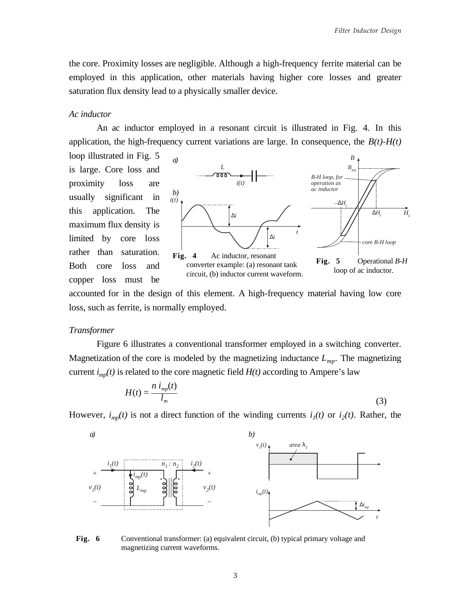the core. Proximity losses are negligible. Although a high-frequency ferrite material can be employed in this application, other materials having higher core losses and greater saturation flux density lead to a physically smaller device.

### *Ac inductor*

An ac inductor employed in a resonant circuit is illustrated in Fig. 4. In this application, the high-frequency current variations are large. In consequence, the  $B(t)$ - $H(t)$ 

loop illustrated in Fig. 5 is large. Core loss and proximity loss are usually significant in this application. The maximum flux density is limited by core loss rather than saturation. Both core loss and copper loss must be



accounted for in the design of this element. A high-frequency material having low core loss, such as ferrite, is normally employed.

### *Transformer*

Figure 6 illustrates a conventional transformer employed in a switching converter. Magnetization of the core is modeled by the magnetizing inductance  $L_{mn}$ . The magnetizing current  $i_{\text{mp}}(t)$  is related to the core magnetic field  $H(t)$  according to Ampere's law

$$
H(t) = \frac{n i_{mp}(t)}{l_m} \tag{3}
$$

However,  $i_{mp}(t)$  is not a direct function of the winding currents  $i_1(t)$  or  $i_2(t)$ . Rather, the



**Fig. 6** Conventional transformer: (a) equivalent circuit, (b) typical primary voltage and magnetizing current waveforms.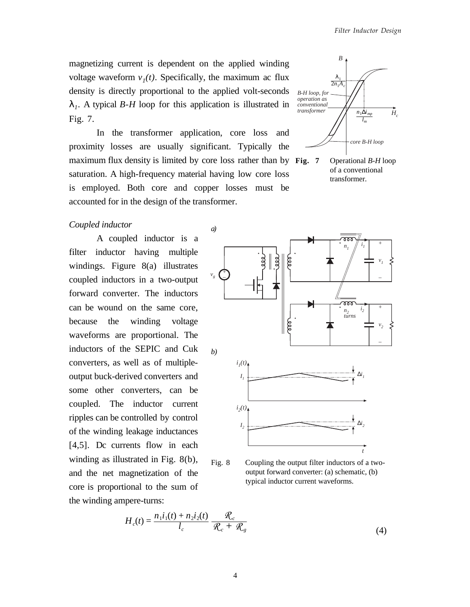magnetizing current is dependent on the applied winding voltage waveform  $v_1(t)$ . Specifically, the maximum ac flux density is directly proportional to the applied volt-seconds λ*1*. A typical *B-H* loop for this application is illustrated in Fig. 7.

In the transformer application, core loss and proximity losses are usually significant. Typically the maximum flux density is limited by core loss rather than by Fig. 7 saturation. A high-frequency material having low core loss is employed. Both core and copper losses must be accounted for in the design of the transformer.



**Fig. 7** Operational *B-H* loop of a conventional transformer.

### *Coupled inductor*

A coupled inductor is a filter inductor having multiple windings. Figure 8(a) illustrates coupled inductors in a two-output forward converter. The inductors can be wound on the same core, because the winding voltage waveforms are proportional. The inductors of the SEPIC and Cuk converters, as well as of multipleoutput buck-derived converters and some other converters, can be coupled. The inductor current ripples can be controlled by control of the winding leakage inductances [4,5]. Dc currents flow in each winding as illustrated in Fig. 8(b), and the net magnetization of the core is proportional to the sum of the winding ampere-turns:



Fig. 8 Coupling the output filter inductors of a twooutput forward converter: (a) schematic, (b) typical inductor current waveforms.

$$
H_c(t) = \frac{n_1 i_1(t) + n_2 i_2(t)}{l_c} \frac{\mathcal{R}_c}{\mathcal{R}_c + \mathcal{R}_g}
$$
(4)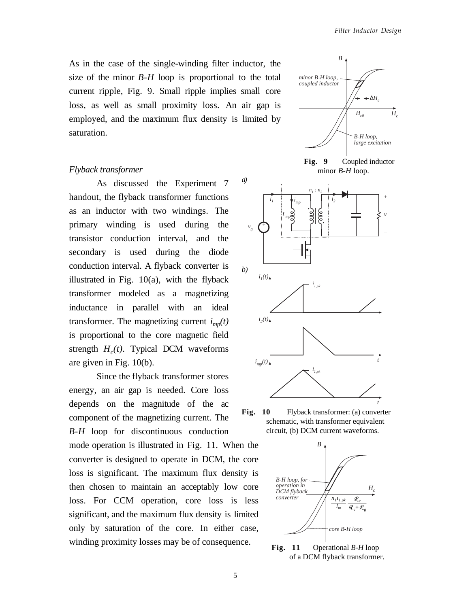As in the case of the single-winding filter inductor, the size of the minor *B-H* loop is proportional to the total current ripple, Fig. 9. Small ripple implies small core loss, as well as small proximity loss. An air gap is employed, and the maximum flux density is limited by saturation.

#### *Flyback transformer*

As discussed the Experiment 7 handout, the flyback transformer functions as an inductor with two windings. The primary winding is used during the transistor conduction interval, and the secondary is used during the diode conduction interval. A flyback converter is illustrated in Fig. 10(a), with the flyback transformer modeled as a magnetizing inductance in parallel with an ideal transformer. The magnetizing current  $i_{mn}(t)$ is proportional to the core magnetic field strength  $H_c(t)$ . Typical DCM waveforms are given in Fig. 10(b).

Since the flyback transformer stores energy, an air gap is needed. Core loss depends on the magnitude of the ac component of the magnetizing current. The *B-H* loop for discontinuous conduction mode operation is illustrated in Fig. 11. When the converter is designed to operate in DCM, the core loss is significant. The maximum flux density is then chosen to maintain an acceptably low core loss. For CCM operation, core loss is less significant, and the maximum flux density is limited only by saturation of the core. In either case, winding proximity losses may be of consequence.



**Fig. 9** Coupled inductor minor *B-H* loop.



Fig. 10 Flyback transformer: (a) converter schematic, with transformer equivalent circuit, (b) DCM current waveforms.



**Fig. 11** Operational *B-H* loop of a DCM flyback transformer.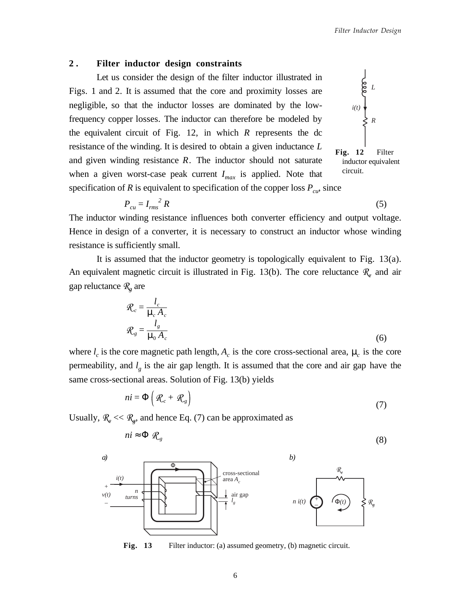### **2 . Filter inductor design constraints**

Let us consider the design of the filter inductor illustrated in Figs. 1 and 2. It is assumed that the core and proximity losses are negligible, so that the inductor losses are dominated by the lowfrequency copper losses. The inductor can therefore be modeled by the equivalent circuit of Fig. 12, in which *R* represents the dc resistance of the winding. It is desired to obtain a given inductance *L* and given winding resistance *R*. The inductor should not saturate when a given worst-case peak current  $I_{max}$  is applied. Note that specification of *R* is equivalent to specification of the copper loss  $P_{cu}$ , since



$$
P_{cu} = I_{rms}^2 R \tag{5}
$$

The inductor winding resistance influences both converter efficiency and output voltage. Hence in design of a converter, it is necessary to construct an inductor whose winding resistance is sufficiently small.

It is assumed that the inductor geometry is topologically equivalent to Fig. 13(a). An equivalent magnetic circuit is illustrated in Fig. 13(b). The core reluctance  $\mathcal{R}_{\varrho}$  and air gap reluctance R*g* are

$$
\mathcal{R}_c = \frac{l_c}{\mu_c A_c}
$$
  

$$
\mathcal{R}_g = \frac{l_g}{\mu_0 A_c}
$$
 (6)

where  $l_c$  is the core magnetic path length,  $A_c$  is the core cross-sectional area,  $\mu_c$  is the core permeability, and  $l_{\varrho}$  is the air gap length. It is assumed that the core and air gap have the same cross-sectional areas. Solution of Fig. 13(b) yields

$$
ni = \Phi\left(\mathcal{R}_c + \mathcal{R}_g\right) \tag{7}
$$

Usually,  $\mathcal{R}_e \ll \mathcal{R}_g$ , and hence Eq. (7) can be approximated as

$$
ni \approx \Phi \, \mathcal{R}_s \tag{8}
$$



Fig. 13 Filter inductor: (a) assumed geometry, (b) magnetic circuit.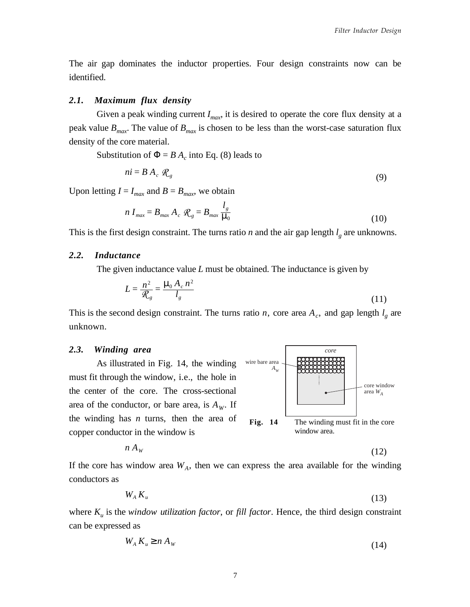core window area *WA*

*core*

Fig. 14 The winding must fit in the core

The air gap dominates the inductor properties. Four design constraints now can be identified.

### *2.1. Maximum flux density*

Given a peak winding current  $I_{max}$ , it is desired to operate the core flux density at a peak value  $B_{max}$ . The value of  $B_{max}$  is chosen to be less than the worst-case saturation flux density of the core material.

Substitution of  $\Phi = BA_c$  into Eq. (8) leads to

$$
ni = BA_c \mathcal{R}_g \tag{9}
$$

Upon letting  $I = I_{max}$  and  $B = B_{max}$ , we obtain

$$
n I_{max} = B_{max} A_c \mathcal{R}_g = B_{max} \frac{l_g}{\mu_0}
$$
 (10)

This is the first design constraint. The turns ratio  $n$  and the air gap length  $l_{\varrho}$  are unknowns.

#### *2.2. Inductance*

The given inductance value *L* must be obtained. The inductance is given by

$$
L = \frac{n^2}{\mathcal{R}_g} = \frac{\mu_0 A_c n^2}{l_g} \tag{11}
$$

wire bare area  $A_w$ 

This is the second design constraint. The turns ratio *n*, core area  $A_c$ , and gap length  $l_g$  are unknown.

### *2.3. Winding area*

As illustrated in Fig. 14, the winding must fit through the window, i.e., the hole in the center of the core. The cross-sectional area of the conductor, or bare area, is  $A_W$ . If the winding has *n* turns, then the area of copper conductor in the window is



If the core has window area  $W_A$ , then we can express the area available for the winding conductors as

$$
W_A K_u \tag{13}
$$

where *Ku* is the *window utilization factor*, or *fill factor*. Hence, the third design constraint can be expressed as

$$
W_A K_u \ge n A_W \tag{14}
$$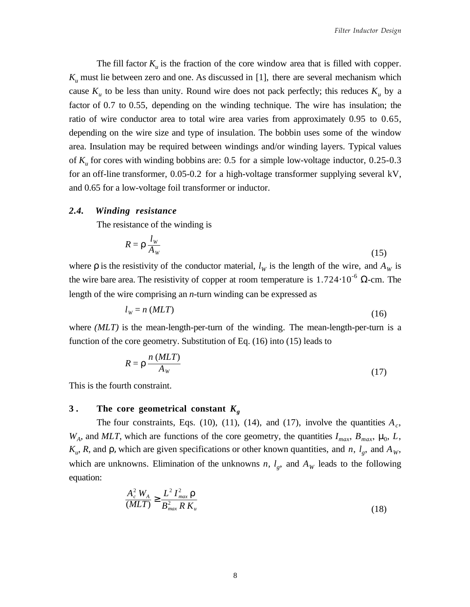The fill factor  $K_u$  is the fraction of the core window area that is filled with copper.  $K_u$  must lie between zero and one. As discussed in [1], there are several mechanism which cause  $K_u$  to be less than unity. Round wire does not pack perfectly; this reduces  $K_u$  by a factor of 0.7 to 0.55, depending on the winding technique. The wire has insulation; the ratio of wire conductor area to total wire area varies from approximately 0.95 to 0.65, depending on the wire size and type of insulation. The bobbin uses some of the window area. Insulation may be required between windings and/or winding layers. Typical values of *Ku* for cores with winding bobbins are: 0.5 for a simple low-voltage inductor, 0.25-0.3 for an off-line transformer, 0.05-0.2 for a high-voltage transformer supplying several kV, and 0.65 for a low-voltage foil transformer or inductor.

#### *2.4. Winding resistance*

The resistance of the winding is

$$
R = \rho \frac{l_w}{A_w} \tag{15}
$$

where  $\rho$  is the resistivity of the conductor material,  $l_W$  is the length of the wire, and  $A_W$  is the wire bare area. The resistivity of copper at room temperature is  $1.724 \cdot 10^{-6}$  Ω-cm. The length of the wire comprising an *n*-turn winding can be expressed as

$$
l_{w} = n \ (MLT) \tag{16}
$$

where *(MLT)* is the mean-length-per-turn of the winding. The mean-length-per-turn is a function of the core geometry. Substitution of Eq. (16) into (15) leads to

$$
R = \rho \frac{n (MLT)}{A_W} \tag{17}
$$

This is the fourth constraint.

## **3 . The core geometrical constant** *Kg*

The four constraints, Eqs. (10), (11), (14), and (17), involve the quantities  $A_c$ ,  $W_A$ , and *MLT*, which are functions of the core geometry, the quantities  $I_{max}$ ,  $B_{max}$ ,  $\mu_0$ , *L*, *K<sub>u</sub>*, *R*, and ρ, which are given specifications or other known quantities, and *n*, *l<sub>g</sub>*, and *A<sub>W</sub>*, which are unknowns. Elimination of the unknowns *n*,  $l_g$ , and  $A_W$  leads to the following equation:

$$
\frac{A_c^2 W_A}{(MLT)} \ge \frac{L^2 I_{max}^2 \rho}{B_{max}^2 R K_u}
$$
\n(18)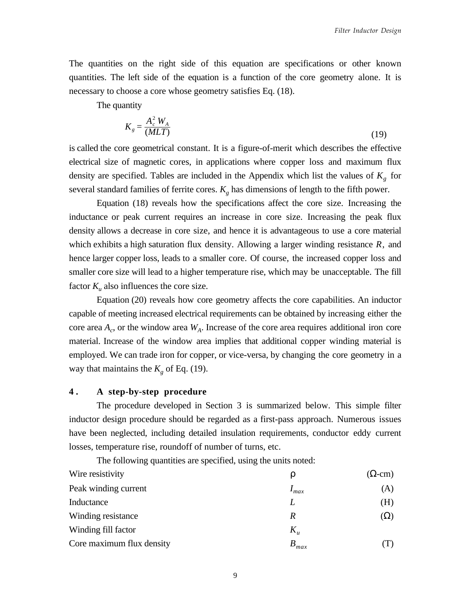The quantities on the right side of this equation are specifications or other known quantities. The left side of the equation is a function of the core geometry alone. It is necessary to choose a core whose geometry satisfies Eq. (18).

The quantity

$$
K_{g} = \frac{A_{c}^{2} W_{A}}{(MLT)}
$$
\n(19)

is called the core geometrical constant. It is a figure-of-merit which describes the effective electrical size of magnetic cores, in applications where copper loss and maximum flux density are specified. Tables are included in the Appendix which list the values of  $K<sub>g</sub>$  for several standard families of ferrite cores.  $K_g$  has dimensions of length to the fifth power.

Equation (18) reveals how the specifications affect the core size. Increasing the inductance or peak current requires an increase in core size. Increasing the peak flux density allows a decrease in core size, and hence it is advantageous to use a core material which exhibits a high saturation flux density. Allowing a larger winding resistance *R*, and hence larger copper loss, leads to a smaller core. Of course, the increased copper loss and smaller core size will lead to a higher temperature rise, which may be unacceptable. The fill factor  $K_u$  also influences the core size.

Equation (20) reveals how core geometry affects the core capabilities. An inductor capable of meeting increased electrical requirements can be obtained by increasing either the core area  $A_c$ , or the window area  $W_A$ . Increase of the core area requires additional iron core material. Increase of the window area implies that additional copper winding material is employed. We can trade iron for copper, or vice-versa, by changing the core geometry in a way that maintains the  $K<sub>g</sub>$  of Eq. (19).

## **4 . A step-by-step procedure**

The procedure developed in Section 3 is summarized below. This simple filter inductor design procedure should be regarded as a first-pass approach. Numerous issues have been neglected, including detailed insulation requirements, conductor eddy current losses, temperature rise, roundoff of number of turns, etc.

The following quantities are specified, using the units noted:

| Wire resistivity          | D         | $(\Omega$ -cm $)$ |
|---------------------------|-----------|-------------------|
| Peak winding current      | $I_{max}$ | (A)               |
| Inductance                |           | (H)               |
| Winding resistance        | R         | $(\Omega)$        |
| Winding fill factor       | $K_u$     |                   |
| Core maximum flux density | $B_{max}$ |                   |

9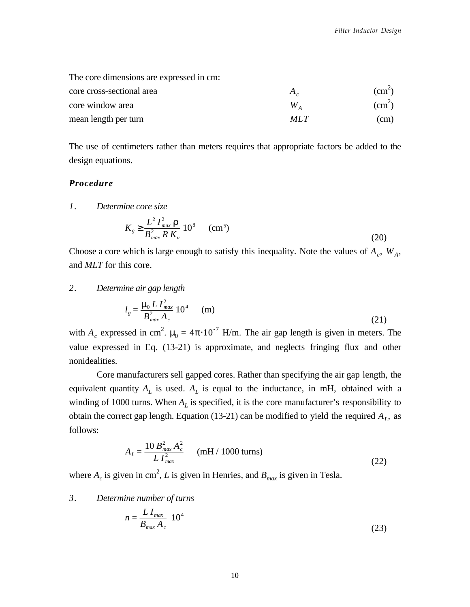| The core dimensions are expressed in cm: |              |                 |
|------------------------------------------|--------------|-----------------|
| core cross-sectional area                | $A_{\alpha}$ | $\text{(cm}^2)$ |
| core window area                         | W,           | $\text{cm}^2$   |
| mean length per turn                     | MIT          | (cm)            |

The use of centimeters rather than meters requires that appropriate factors be added to the design equations.

## *Procedure*

*1. Determine core size*

$$
K_{g} \ge \frac{L^{2} I_{max}^{2} \rho}{B_{max}^{2} R K_{u}} 10^{8} \qquad (cm^{5})
$$
 (20)

Choose a core which is large enough to satisfy this inequality. Note the values of  $A_c$ ,  $W_A$ , and *MLT* for this core.

## *2. Determine air gap length*

$$
l_g = \frac{\mu_0 L I_{max}^2}{B_{max}^2 A_c} 10^4 \qquad (m)
$$
 (21)

with  $A_c$  expressed in cm<sup>2</sup>.  $\mu_0 = 4\pi \cdot 10^{-7}$  H/m. The air gap length is given in meters. The value expressed in Eq. (13-21) is approximate, and neglects fringing flux and other nonidealities.

Core manufacturers sell gapped cores. Rather than specifying the air gap length, the equivalent quantity  $A_L$  is used.  $A_L$  is equal to the inductance, in mH, obtained with a winding of 1000 turns. When  $A_L$  is specified, it is the core manufacturer's responsibility to obtain the correct gap length. Equation (13-21) can be modified to yield the required  $A<sub>L</sub>$ , as follows:

$$
A_L = \frac{10 B_{max}^2 A_c^2}{L I_{max}^2}
$$
 (mH / 1000 turns) (22)

where  $A_c$  is given in cm<sup>2</sup>, L is given in Henries, and  $B_{max}$  is given in Tesla.

## *3. Determine number of turns*

$$
n = \frac{L I_{max}}{B_{max} A_c} 10^4
$$
 (23)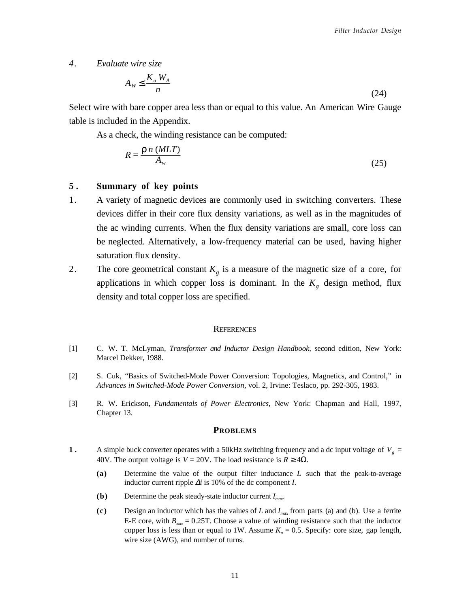*4. Evaluate wire size*

$$
A_W \le \frac{K_u W_A}{n} \tag{24}
$$

Select wire with bare copper area less than or equal to this value. An American Wire Gauge table is included in the Appendix.

As a check, the winding resistance can be computed:

$$
R = \frac{\rho \; n \; (MLT)}{A_w} \tag{25}
$$

## **5 . Summary of key points**

- 1. A variety of magnetic devices are commonly used in switching converters. These devices differ in their core flux density variations, as well as in the magnitudes of the ac winding currents. When the flux density variations are small, core loss can be neglected. Alternatively, a low-frequency material can be used, having higher saturation flux density.
- 2. The core geometrical constant  $K_{\varrho}$  is a measure of the magnetic size of a core, for applications in which copper loss is dominant. In the  $K_g$  design method, flux density and total copper loss are specified.

#### **REFERENCES**

- [1] C. W. T. McLyman, *Transformer and Inductor Design Handbook*, second edition, New York: Marcel Dekker, 1988.
- [2] S. Cuk, "Basics of Switched-Mode Power Conversion: Topologies, Magnetics, and Control," in *Advances in Switched-Mode Power Conversion*, vol. 2, Irvine: Teslaco, pp. 292-305, 1983.
- [3] R. W. Erickson, *Fundamentals of Power Electronics*, New York: Chapman and Hall, 1997, Chapter 13.

#### **PROBLEMS**

- **1** A simple buck converter operates with a 50kHz switching frequency and a dc input voltage of  $V_g$  = 40V. The output voltage is  $V = 20V$ . The load resistance is  $R \ge 4\Omega$ .
	- **(a)** Determine the value of the output filter inductance *L* such that the peak-to-average inductor current ripple ∆*i* is 10% of the dc component *I*.
	- **(b)** Determine the peak steady-state inductor current *Imax*.
	- **(c)** Design an inductor which has the values of *L* and *Imax* from parts (a) and (b). Use a ferrite E-E core, with  $B_{\text{max}} = 0.25$ T. Choose a value of winding resistance such that the inductor copper loss is less than or equal to 1W. Assume  $K_u = 0.5$ . Specify: core size, gap length, wire size (AWG), and number of turns.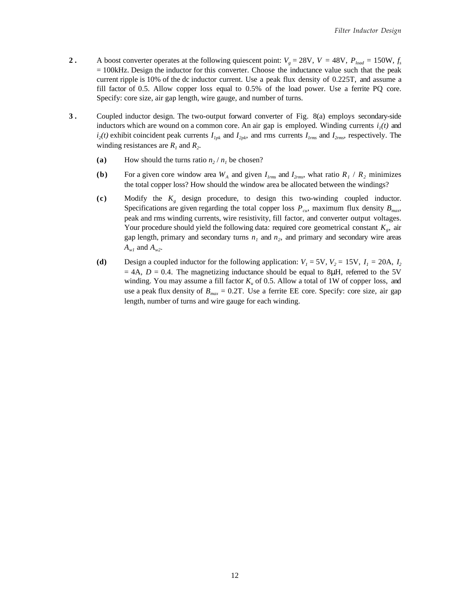- **2**. A boost converter operates at the following quiescent point:  $V_g = 28V$ ,  $V = 48V$ ,  $P_{load} = 150W$ ,  $f_s$ = 100kHz. Design the inductor for this converter. Choose the inductance value such that the peak current ripple is 10% of the dc inductor current. Use a peak flux density of 0.225T, and assume a fill factor of 0.5. Allow copper loss equal to 0.5% of the load power. Use a ferrite PQ core. Specify: core size, air gap length, wire gauge, and number of turns.
- **3**. Coupled inductor design. The two-output forward converter of Fig. 8(a) employs secondary-side inductors which are wound on a common core. An air gap is employed. Winding currents  $i_l(t)$  and  $i_2(t)$  exhibit coincident peak currents  $I_{1pk}$  and  $I_{2pk}$ , and rms currents  $I_{1rms}$  and  $I_{2rms}$ , respectively. The winding resistances are  $R_1$  and  $R_2$ .
	- (a) How should the turns ratio  $n_2/n_1$  be chosen?
	- **(b)** For a given core window area  $W_A$  and given  $I_{lmns}$  and  $I_{2rms}$ , what ratio  $R_I / R_2$  minimizes the total copper loss? How should the window area be allocated between the windings?
	- **(c)** Modify the *Kg* design procedure, to design this two-winding coupled inductor. Specifications are given regarding the total copper loss  $P_{cu}$ , maximum flux density  $B_{max}$ , peak and rms winding currents, wire resistivity, fill factor, and converter output voltages. Your procedure should yield the following data: required core geometrical constant  $K_g$ , air gap length, primary and secondary turns  $n_1$  and  $n_2$ , and primary and secondary wire areas  $A_{w1}$  and  $A_{w2}$ .
	- (d) Design a coupled inductor for the following application:  $V_1 = 5V$ ,  $V_2 = 15V$ ,  $I_1 = 20A$ ,  $I_2$  $= 4A$ ,  $D = 0.4$ . The magnetizing inductance should be equal to 8 $\mu$ H, referred to the 5V winding. You may assume a fill factor *Ku* of 0.5. Allow a total of 1W of copper loss, and use a peak flux density of  $B_{max} = 0.2$ T. Use a ferrite EE core. Specify: core size, air gap length, number of turns and wire gauge for each winding.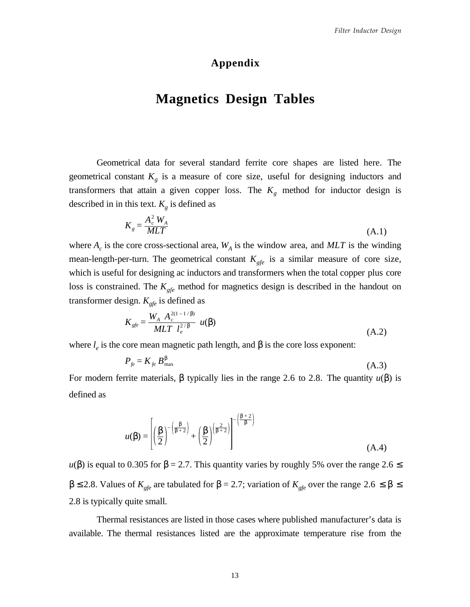## **Appendix**

# **Magnetics Design Tables**

Geometrical data for several standard ferrite core shapes are listed here. The geometrical constant  $K<sub>g</sub>$  is a measure of core size, useful for designing inductors and transformers that attain a given copper loss. The  $K_g$  method for inductor design is described in in this text.  $K_g$  is defined as

$$
K_{g} = \frac{A_{c}^{2} W_{A}}{MLT}
$$
\n(A.1)

where  $A_c$  is the core cross-sectional area,  $W_A$  is the window area, and  $MLT$  is the winding mean-length-per-turn. The geometrical constant  $K_{gfe}$  is a similar measure of core size, which is useful for designing ac inductors and transformers when the total copper plus core loss is constrained. The  $K_{gfe}$  method for magnetics design is described in the handout on transformer design.  $K_{gfe}$  is defined as

$$
K_{gfe} = \frac{W_A A_c^{2(1-1/\beta)}}{MLT l_e^{2/\beta}} u(\beta)
$$
 (A.2)

where  $l_e$  is the core mean magnetic path length, and  $\beta$  is the core loss exponent:

$$
P_{fe} = K_{fe} B_{\text{max}}^{\beta} \tag{A.3}
$$

For modern ferrite materials, β typically lies in the range 2.6 to 2.8. The quantity *u*(β) is defined as

$$
u(\beta) = \left[ \left( \frac{\beta}{2} \right)^{-\left( \frac{\beta}{\beta + 2} \right)} + \left( \frac{\beta}{2} \right)^{\left( \frac{\beta}{\beta + 2} \right)} \right]^{-\left( \frac{\beta + 2}{\beta} \right)}
$$
(A.4)

 $u(\beta)$  is equal to 0.305 for  $\beta = 2.7$ . This quantity varies by roughly 5% over the range 2.6  $\leq$  $β ≤ 2.8$ . Values of *K<sub>gfe</sub>* are tabulated for  $β = 2.7$ ; variation of *K<sub>gfe</sub>* over the range 2.6 ≤  $β ≤$ 2.8 is typically quite small.

Thermal resistances are listed in those cases where published manufacturer's data is available. The thermal resistances listed are the approximate temperature rise from the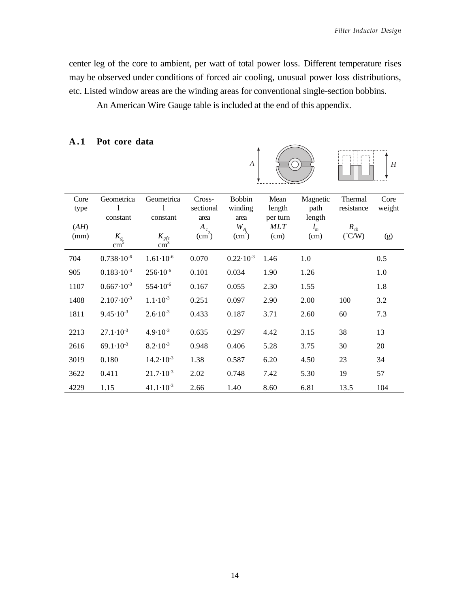center leg of the core to ambient, per watt of total power loss. Different temperature rises may be observed under conditions of forced air cooling, unusual power loss distributions, etc. Listed window areas are the winding areas for conventional single-section bobbins.

An American Wire Gauge table is included at the end of this appendix.

## **A.1 Pot core data**



| Core<br>type | Geometrica<br>1<br>constant | Geometrica<br>1<br>constant  | Cross-<br>sectional              | <b>Bobbin</b><br>winding              | Mean<br>length<br>per turn | Magnetic<br>path<br>length | Thermal<br>resistance       | Core<br>weight |
|--------------|-----------------------------|------------------------------|----------------------------------|---------------------------------------|----------------------------|----------------------------|-----------------------------|----------------|
| (AH)<br>(mm) | $K_{g5}$<br>cm <sup>-</sup> | $K_{gfe}$<br>cm <sup>x</sup> | area<br>$A_c$<br>$\text{cm}^2$ ) | area<br>$W_{A}$<br>(cm <sup>2</sup> ) | <b>MLT</b><br>(cm)         | $l_m$<br>(cm)              | $R_{th}$<br>$(^{\circ}C/W)$ | (g)            |
| 704          | $0.738 \cdot 10^{-6}$       | $1.61 \cdot 10^{-6}$         | 0.070                            | $0.22 \cdot 10^{-3}$                  | 1.46                       | 1.0                        |                             | 0.5            |
| 905          | $0.183 \cdot 10^{-3}$       | $256 \cdot 10^{-6}$          | 0.101                            | 0.034                                 | 1.90                       | 1.26                       |                             | 1.0            |
| 1107         | $0.667 \cdot 10^{-3}$       | $554 \cdot 10^{-6}$          | 0.167                            | 0.055                                 | 2.30                       | 1.55                       |                             | 1.8            |
| 1408         | $2.107 \cdot 10^{-3}$       | $1.1 \cdot 10^{-3}$          | 0.251                            | 0.097                                 | 2.90                       | 2.00                       | 100                         | 3.2            |
| 1811         | $9.45 \cdot 10^{-3}$        | $2.6 \cdot 10^{-3}$          | 0.433                            | 0.187                                 | 3.71                       | 2.60                       | 60                          | 7.3            |
| 2213         | $27.1 \cdot 10^{-3}$        | $4.9 \cdot 10^{-3}$          | 0.635                            | 0.297                                 | 4.42                       | 3.15                       | 38                          | 13             |
| 2616         | $69.1 \cdot 10^{-3}$        | $8.2 \cdot 10^{-3}$          | 0.948                            | 0.406                                 | 5.28                       | 3.75                       | 30                          | 20             |
| 3019         | 0.180                       | $14.2 \cdot 10^{-3}$         | 1.38                             | 0.587                                 | 6.20                       | 4.50                       | 23                          | 34             |
| 3622         | 0.411                       | $21.7 \cdot 10^{-3}$         | 2.02                             | 0.748                                 | 7.42                       | 5.30                       | 19                          | 57             |
| 4229         | 1.15                        | $41.1 \cdot 10^{-3}$         | 2.66                             | 1.40                                  | 8.60                       | 6.81                       | 13.5                        | 104            |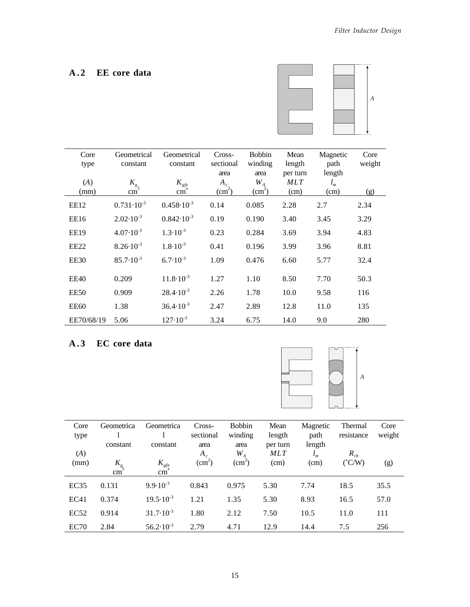## **A . 2 EE core data**



| Core<br>type<br>(A) | Geometrical<br>constant<br>$K_{g}$ | Geometrical<br>constant<br>$K_{\text{gfe}}$ | Cross-<br>sectional<br>area<br>$A_c$ | <b>Bobbin</b><br>winding<br>area<br>$W_A$ | Mean<br>length<br>per turn<br><b>MLT</b> | Magnetic<br>path<br>length<br>$l_m$ | Core<br>weight |
|---------------------|------------------------------------|---------------------------------------------|--------------------------------------|-------------------------------------------|------------------------------------------|-------------------------------------|----------------|
| (mm)                | cm                                 | $\overline{\text{cm}}^x$                    | $\text{(cm}^2)$                      | $\text{cm}^2$                             | (cm)                                     | (cm)                                | (g)            |
| EE12                | $0.731 \cdot 10^{-3}$              | $0.458 \cdot 10^{-3}$                       | 0.14                                 | 0.085                                     | 2.28                                     | 2.7                                 | 2.34           |
| EE16                | $2.02 \cdot 10^{-3}$               | $0.842 \cdot 10^{-3}$                       | 0.19                                 | 0.190                                     | 3.40                                     | 3.45                                | 3.29           |
| <b>EE19</b>         | $4.07 \cdot 10^{-3}$               | $1.3 \cdot 10^{-3}$                         | 0.23                                 | 0.284                                     | 3.69                                     | 3.94                                | 4.83           |
| EE <sub>22</sub>    | $8.26 \cdot 10^{-3}$               | $1.8 \cdot 10^{-3}$                         | 0.41                                 | 0.196                                     | 3.99                                     | 3.96                                | 8.81           |
| EE30                | $85.7 \cdot 10^{-3}$               | $6.7 \cdot 10^{-3}$                         | 1.09                                 | 0.476                                     | 6.60                                     | 5.77                                | 32.4           |
| EE40                | 0.209                              | $11.8 \cdot 10^{-3}$                        | 1.27                                 | 1.10                                      | 8.50                                     | 7.70                                | 50.3           |
| EE50                | 0.909                              | $28.4 \cdot 10^{-3}$                        | 2.26                                 | 1.78                                      | 10.0                                     | 9.58                                | 116            |
| <b>EE60</b>         | 1.38                               | $36.4 \cdot 10^{-3}$                        | 2.47                                 | 2.89                                      | 12.8                                     | 11.0                                | 135            |
| EE70/68/19          | 5.06                               | $127 \cdot 10^{-3}$                         | 3.24                                 | 6.75                                      | 14.0                                     | 9.0                                 | 280            |

## **A . 3 EC core data**



| Core             | Geometrica | Geometrica           | Cross-          | <b>Bobbin</b>   | Mean     | Magnetic | Thermal         | Core   |
|------------------|------------|----------------------|-----------------|-----------------|----------|----------|-----------------|--------|
| type             |            |                      | sectional       | winding         | length   | path     | resistance      | weight |
|                  | constant   | constant             | area            | area            | per turn | length   |                 |        |
| (A)              |            |                      | $A_c$           | $W_{A}$         | MLT      | $l_m$    | $R_{th}$        |        |
| (mm)             | $K_{g}$    | $K_{gfe}$            | $\text{cm}^2$ ) | $\text{(cm}^2)$ | (cm)     | (cm)     | $(^{\circ}C/W)$ | (g)    |
|                  | cm         | cm                   |                 |                 |          |          |                 |        |
| EC35             | 0.131      | $9.9 \cdot 10^{-3}$  | 0.843           | 0.975           | 5.30     | 7.74     | 18.5            | 35.5   |
| EC41             | 0.374      | $19.5 \cdot 10^{-3}$ | 1.21            | 1.35            | 5.30     | 8.93     | 16.5            | 57.0   |
| EC52             | 0.914      | $31.7 \cdot 10^{-3}$ | 1.80            | 2.12            | 7.50     | 10.5     | 11.0            | 111    |
| EC <sub>70</sub> | 2.84       | $56.2 \cdot 10^{-3}$ | 2.79            | 4.71            | 12.9     | 14.4     | 7.5             | 256    |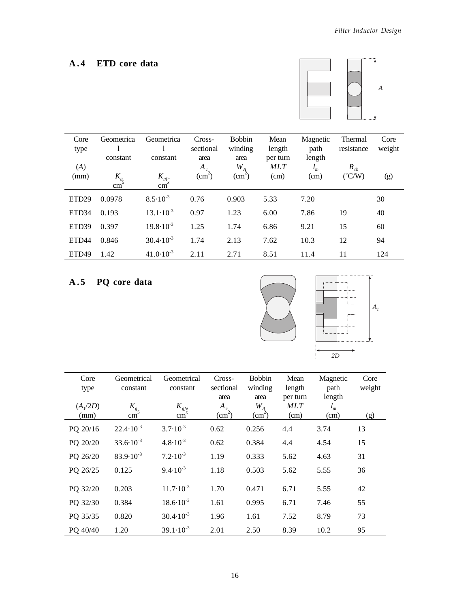## **A . 4 ETD core data**



| Core              | Geometrica      | Geometrica               | Cross-             | <b>Bobbin</b>   | Mean       | Magnetic | Thermal         | Core   |
|-------------------|-----------------|--------------------------|--------------------|-----------------|------------|----------|-----------------|--------|
| type              |                 |                          | sectional          | winding         | length     | path     | resistance      | weight |
|                   | constant        | constant                 | area               | area            | per turn   | length   |                 |        |
| (A)               |                 |                          | $A_c$              | $W_{A}$         | <b>MLT</b> | $l_m$    | $R_{th}$        |        |
| (mm)              | $K_{g}$         | $K_{\text{gfe}}$         | (cm <sup>2</sup> ) | $\text{(cm}^2)$ | (cm)       | (cm)     | $(^{\circ}C/W)$ | (g)    |
|                   | cm <sub>1</sub> | $\overline{\text{cm}}^x$ |                    |                 |            |          |                 |        |
| ETD <sub>29</sub> | 0.0978          | $8.5 \cdot 10^{-3}$      | 0.76               | 0.903           | 5.33       | 7.20     |                 | 30     |
| ETD <sub>34</sub> | 0.193           | $13.1 \cdot 10^{-3}$     | 0.97               | 1.23            | 6.00       | 7.86     | 19              | 40     |
| ETD <sub>39</sub> | 0.397           | $19.8 \cdot 10^{-3}$     | 1.25               | 1.74            | 6.86       | 9.21     | 15              | 60     |
| ETD <sub>44</sub> | 0.846           | $30.4 \cdot 10^{-3}$     | 1.74               | 2.13            | 7.62       | 10.3     | 12              | 94     |
| ETD <sub>49</sub> | 1.42            | $41.0 \cdot 10^{-3}$     | 2.11               | 2.71            | 8.51       | 11.4     | 11              | 124    |

# **A . 5 PQ core data**



| Core<br>type       | Geometrical<br>constant     | Geometrical<br>constant             | Cross-<br>sectional<br>area     | <b>Bobbin</b><br>winding<br>area | Mean<br>length<br>per turn | Magnetic<br>path<br>length | Core<br>weight |
|--------------------|-----------------------------|-------------------------------------|---------------------------------|----------------------------------|----------------------------|----------------------------|----------------|
| $(A_1/2D)$<br>(mm) | $K_{g5}$<br>cm <sub>1</sub> | $K_{\text{gfe}}$<br>cm <sup>x</sup> | $A_c$<br>$\text{(cm}^2\text{)}$ | $W_{A}$<br>$\text{cm}^2$ )       | <b>MLT</b><br>(cm)         | $l_m$<br>(cm)              | (g)            |
| PQ 20/16           | $22.4 \cdot 10^{-3}$        | $3.7 \cdot 10^{-3}$                 | 0.62                            | 0.256                            | 4.4                        | 3.74                       | 13             |
| PQ 20/20           | $33.6 \cdot 10^{-3}$        | $4.8 \cdot 10^{-3}$                 | 0.62                            | 0.384                            | 4.4                        | 4.54                       | 15             |
| PQ 26/20           | $83.9 \cdot 10^{-3}$        | $7.2 \cdot 10^{-3}$                 | 1.19                            | 0.333                            | 5.62                       | 4.63                       | 31             |
| PQ 26/25           | 0.125                       | $9.4 \cdot 10^{-3}$                 | 1.18                            | 0.503                            | 5.62                       | 5.55                       | 36             |
| PQ 32/20           | 0.203                       | $11.7 \cdot 10^{-3}$                | 1.70                            | 0.471                            | 6.71                       | 5.55                       | 42             |
| PQ 32/30           | 0.384                       | $18.6 \cdot 10^{-3}$                | 1.61                            | 0.995                            | 6.71                       | 7.46                       | 55             |
| PQ 35/35           | 0.820                       | $30.4 \cdot 10^{-3}$                | 1.96                            | 1.61                             | 7.52                       | 8.79                       | 73             |
| PQ 40/40           | 1.20                        | $39.1 \cdot 10^{-3}$                | 2.01                            | 2.50                             | 8.39                       | 10.2                       | 95             |